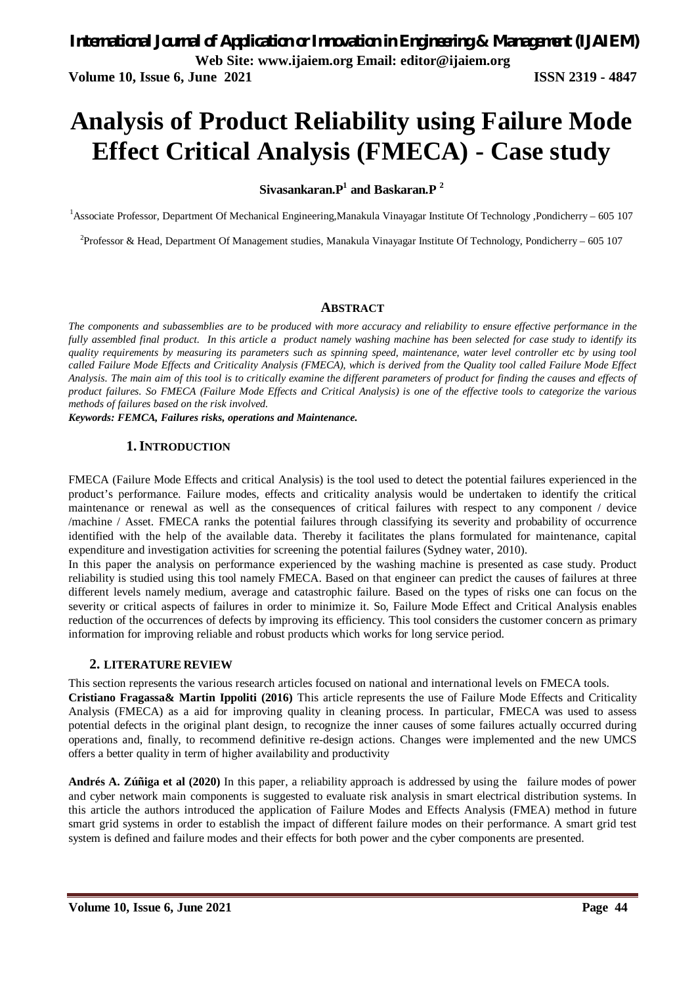# **Analysis of Product Reliability using Failure Mode Effect Critical Analysis (FMECA) - Case study**

### **Sivasankaran.P<sup>1</sup> and Baskaran.P <sup>2</sup>**

<sup>1</sup>Associate Professor, Department Of Mechanical Engineering,Manakula Vinayagar Institute Of Technology ,Pondicherry – 605 107

<sup>2</sup>Professor & Head, Department Of Management studies, Manakula Vinayagar Institute Of Technology, Pondicherry – 605 107

### **ABSTRACT**

*The components and subassemblies are to be produced with more accuracy and reliability to ensure effective performance in the fully assembled final product. In this article a product namely washing machine has been selected for case study to identify its quality requirements by measuring its parameters such as spinning speed, maintenance, water level controller etc by using tool called Failure Mode Effects and Criticality Analysis (FMECA), which is derived from the Quality tool called Failure Mode Effect Analysis. The main aim of this tool is to critically examine the different parameters of product for finding the causes and effects of product failures. So FMECA (Failure Mode Effects and Critical Analysis) is one of the effective tools to categorize the various methods of failures based on the risk involved.*

*Keywords: FEMCA, Failures risks, operations and Maintenance.*

### **1.INTRODUCTION**

FMECA (Failure Mode Effects and critical Analysis) is the tool used to detect the potential failures experienced in the product's performance. Failure modes, effects and criticality analysis would be undertaken to identify the critical maintenance or renewal as well as the consequences of critical failures with respect to any component / device /machine / Asset. FMECA ranks the potential failures through classifying its severity and probability of occurrence identified with the help of the available data. Thereby it facilitates the plans formulated for maintenance, capital expenditure and investigation activities for screening the potential failures (Sydney water, 2010).

In this paper the analysis on performance experienced by the washing machine is presented as case study. Product reliability is studied using this tool namely FMECA. Based on that engineer can predict the causes of failures at three different levels namely medium, average and catastrophic failure. Based on the types of risks one can focus on the severity or critical aspects of failures in order to minimize it. So, Failure Mode Effect and Critical Analysis enables reduction of the occurrences of defects by improving its efficiency. This tool considers the customer concern as primary information for improving reliable and robust products which works for long service period.

### **2. LITERATURE REVIEW**

This section represents the various research articles focused on national and international levels on FMECA tools.

**Cristiano Fragassa& Martin Ippoliti (2016)** This article represents the use of Failure Mode Effects and Criticality Analysis (FMECA) as a aid for improving quality in cleaning process. In particular, FMECA was used to assess potential defects in the original plant design, to recognize the inner causes of some failures actually occurred during operations and, finally, to recommend definitive re-design actions. Changes were implemented and the new UMCS offers a better quality in term of higher availability and productivity

**Andrés A. Zúñiga et al (2020)** In this paper, a reliability approach is addressed by using the failure modes of power and cyber network main components is suggested to evaluate risk analysis in smart electrical distribution systems. In this article the authors introduced the application of Failure Modes and Effects Analysis (FMEA) method in future smart grid systems in order to establish the impact of different failure modes on their performance. A smart grid test system is defined and failure modes and their effects for both power and the cyber components are presented.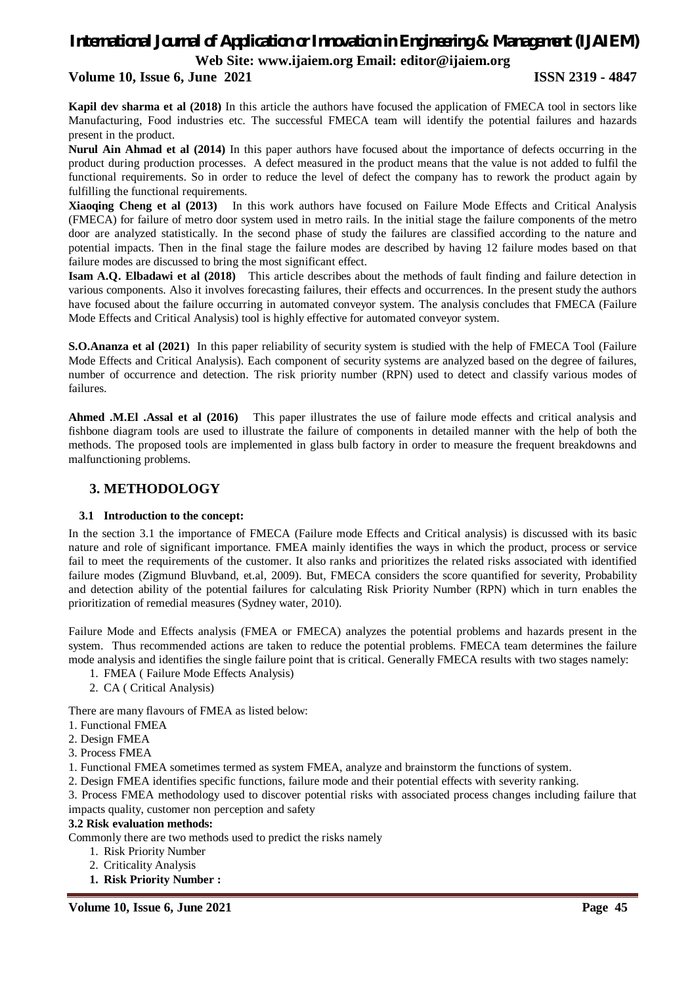### *International Journal of Application or Innovation in Engineering & Management (IJAIEM)* **Web Site: www.ijaiem.org Email: editor@ijaiem.org**

### **Volume 10, Issue 6, June 2021 ISSN 2319 - 4847**

**Kapil dev sharma et al (2018)** In this article the authors have focused the application of FMECA tool in sectors like Manufacturing, Food industries etc. The successful FMECA team will identify the potential failures and hazards present in the product.

**Nurul Ain Ahmad et al (2014)** In this paper authors have focused about the importance of defects occurring in the product during production processes. A defect measured in the product means that the value is not added to fulfil the functional requirements. So in order to reduce the level of defect the company has to rework the product again by fulfilling the functional requirements.

**Xiaoqing Cheng et al (2013)** In this work authors have focused on Failure Mode Effects and Critical Analysis (FMECA) for failure of metro door system used in metro rails. In the initial stage the failure components of the metro door are analyzed statistically. In the second phase of study the failures are classified according to the nature and potential impacts. Then in the final stage the failure modes are described by having 12 failure modes based on that failure modes are discussed to bring the most significant effect.

**Isam A.Q. Elbadawi et al (2018)** This article describes about the methods of fault finding and failure detection in various components. Also it involves forecasting failures, their effects and occurrences. In the present study the authors have focused about the failure occurring in automated conveyor system. The analysis concludes that FMECA (Failure Mode Effects and Critical Analysis) tool is highly effective for automated conveyor system.

**S.O.Ananza et al (2021)** In this paper reliability of security system is studied with the help of FMECA Tool (Failure Mode Effects and Critical Analysis). Each component of security systems are analyzed based on the degree of failures, number of occurrence and detection. The risk priority number (RPN) used to detect and classify various modes of failures.

**Ahmed .M.El .Assal et al (2016)** This paper illustrates the use of failure mode effects and critical analysis and fishbone diagram tools are used to illustrate the failure of components in detailed manner with the help of both the methods. The proposed tools are implemented in glass bulb factory in order to measure the frequent breakdowns and malfunctioning problems.

### **3. METHODOLOGY**

### **3.1 Introduction to the concept:**

In the section 3.1 the importance of FMECA (Failure mode Effects and Critical analysis) is discussed with its basic nature and role of significant importance. FMEA mainly identifies the ways in which the product, process or service fail to meet the requirements of the customer. It also ranks and prioritizes the related risks associated with identified failure modes (Zigmund Bluvband, et.al, 2009). But, FMECA considers the score quantified for severity, Probability and detection ability of the potential failures for calculating Risk Priority Number (RPN) which in turn enables the prioritization of remedial measures (Sydney water, 2010).

Failure Mode and Effects analysis (FMEA or FMECA) analyzes the potential problems and hazards present in the system. Thus recommended actions are taken to reduce the potential problems. FMECA team determines the failure mode analysis and identifies the single failure point that is critical. Generally FMECA results with two stages namely:

- 1. FMEA ( Failure Mode Effects Analysis)
- 2. CA ( Critical Analysis)

There are many flavours of FMEA as listed below:

1. Functional FMEA

- 2. Design FMEA
- 3. Process FMEA
- 1. Functional FMEA sometimes termed as system FMEA, analyze and brainstorm the functions of system.
- 2. Design FMEA identifies specific functions, failure mode and their potential effects with severity ranking.

3. Process FMEA methodology used to discover potential risks with associated process changes including failure that impacts quality, customer non perception and safety

### **3.2 Risk evaluation methods:**

Commonly there are two methods used to predict the risks namely

- 1. Risk Priority Number
- 2. Criticality Analysis
- **1. Risk Priority Number :**

**Volume 10, Issue 6, June 2021 Page 45**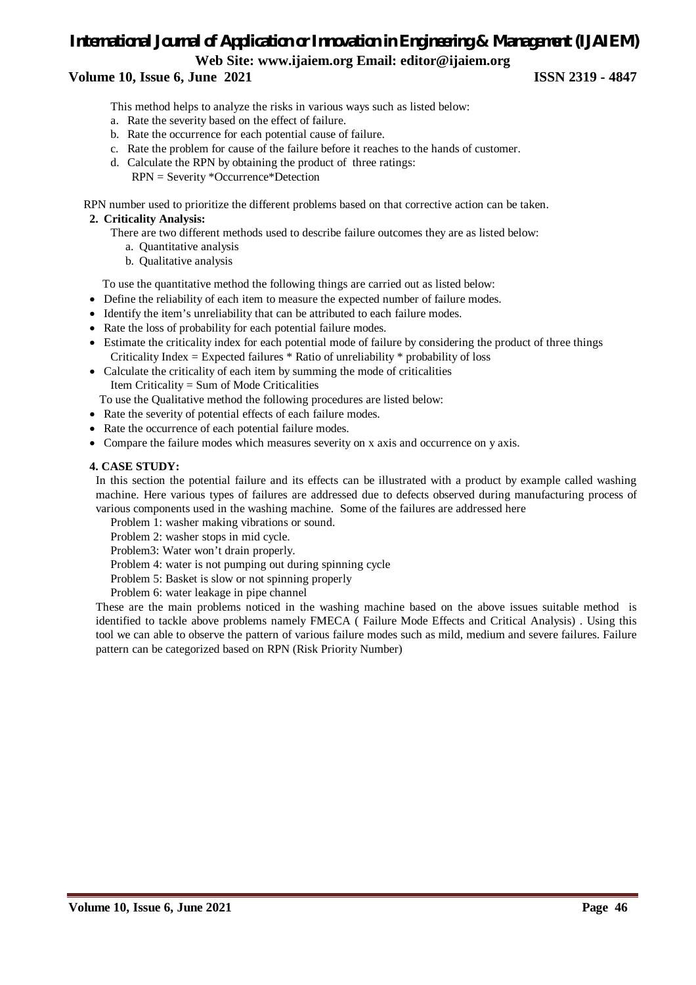### *International Journal of Application or Innovation in Engineering & Management (IJAIEM)* **Web Site: www.ijaiem.org Email: editor@ijaiem.org**

### **Volume 10, Issue 6, June 2021 ISSN 2319 - 4847**

This method helps to analyze the risks in various ways such as listed below:

- a. Rate the severity based on the effect of failure.
- b. Rate the occurrence for each potential cause of failure.
- c. Rate the problem for cause of the failure before it reaches to the hands of customer.
- d. Calculate the RPN by obtaining the product of three ratings: RPN = Severity \*Occurrence\*Detection

RPN number used to prioritize the different problems based on that corrective action can be taken.

### **2. Criticality Analysis:**

There are two different methods used to describe failure outcomes they are as listed below:

- a. Quantitative analysis
- b. Qualitative analysis

To use the quantitative method the following things are carried out as listed below:

- Define the reliability of each item to measure the expected number of failure modes.
- Identify the item's unreliability that can be attributed to each failure modes.
- Rate the loss of probability for each potential failure modes.
- Estimate the criticality index for each potential mode of failure by considering the product of three things Criticality Index = Expected failures  $*$  Ratio of unreliability  $*$  probability of loss
- Calculate the criticality of each item by summing the mode of criticalities

Item Criticality = Sum of Mode Criticalities

To use the Qualitative method the following procedures are listed below:

- Rate the severity of potential effects of each failure modes.
- Rate the occurrence of each potential failure modes.
- Compare the failure modes which measures severity on x axis and occurrence on y axis.

#### **4. CASE STUDY:**

In this section the potential failure and its effects can be illustrated with a product by example called washing machine. Here various types of failures are addressed due to defects observed during manufacturing process of various components used in the washing machine. Some of the failures are addressed here

Problem 1: washer making vibrations or sound.

Problem 2: washer stops in mid cycle.

Problem3: Water won't drain properly.

Problem 4: water is not pumping out during spinning cycle

Problem 5: Basket is slow or not spinning properly

Problem 6: water leakage in pipe channel

These are the main problems noticed in the washing machine based on the above issues suitable method is identified to tackle above problems namely FMECA ( Failure Mode Effects and Critical Analysis) . Using this tool we can able to observe the pattern of various failure modes such as mild, medium and severe failures. Failure pattern can be categorized based on RPN (Risk Priority Number)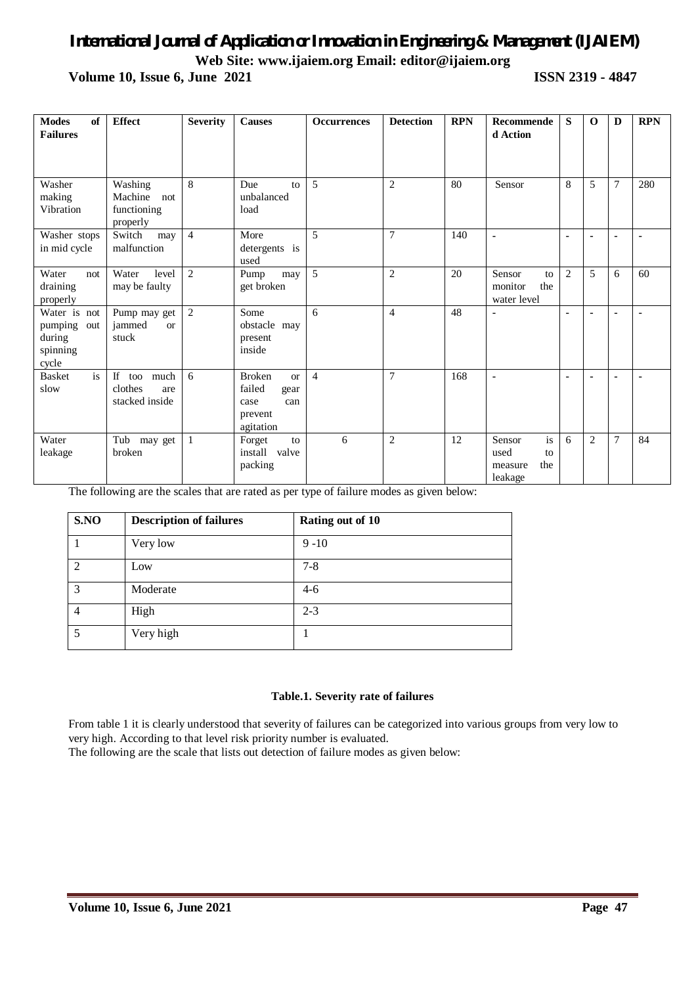### *International Journal of Application or Innovation in Engineering & Management (IJAIEM)* **Web Site: www.ijaiem.org Email: editor@ijaiem.org**

**Volume 10, Issue 6, June 2021 ISSN 2319 - 4847**

| <b>Modes</b><br>of<br><b>Failures</b>                         | <b>Effect</b>                                        | <b>Severity</b> | <b>Causes</b>                                                                       | <b>Occurrences</b> | <b>Detection</b> | <b>RPN</b> | Recommende<br>d Action                                  | S              | $\mathbf 0$    | D              | <b>RPN</b>     |
|---------------------------------------------------------------|------------------------------------------------------|-----------------|-------------------------------------------------------------------------------------|--------------------|------------------|------------|---------------------------------------------------------|----------------|----------------|----------------|----------------|
| Washer<br>making<br>Vibration                                 | Washing<br>Machine<br>not<br>functioning<br>properly | 8               | Due<br>to<br>unbalanced<br>load                                                     | 5                  | $\overline{2}$   | 80         | Sensor                                                  | 8              | 5              | $\overline{7}$ | 280            |
| Washer stops<br>in mid cycle                                  | Switch<br>may<br>malfunction                         | $\overline{4}$  | More<br>detergents is<br>used                                                       | 5                  | $\overline{7}$   | 140        | $\blacksquare$                                          | $\blacksquare$ | $\blacksquare$ | ٠              |                |
| Water<br>not<br>draining<br>properly                          | Water<br>level<br>may be faulty                      | 2               | Pump<br>may<br>get broken                                                           | 5                  | $\overline{c}$   | 20         | Sensor<br>to<br>the<br>monitor<br>water level           | $\overline{2}$ | 5              | 6              | 60             |
| Water is not<br>pumping<br>out<br>during<br>spinning<br>cycle | Pump may get<br>jammed<br>$\alpha$<br>stuck          | 2               | Some<br>obstacle may<br>present<br>inside                                           | 6                  | $\overline{4}$   | 48         | $\blacksquare$                                          | $\blacksquare$ | $\blacksquare$ | $\blacksquare$ | $\blacksquare$ |
| is<br><b>Basket</b><br>slow                                   | If too much<br>clothes<br>are<br>stacked inside      | 6               | <b>Broken</b><br><b>or</b><br>failed<br>gear<br>can<br>case<br>prevent<br>agitation | $\overline{4}$     | $\overline{7}$   | 168        | $\blacksquare$                                          | $\blacksquare$ | $\blacksquare$ | $\blacksquare$ |                |
| Water<br>leakage                                              | Tub may get<br>broken                                | $\mathbf{1}$    | Forget<br>to<br>install valve<br>packing                                            | 6                  | $\overline{c}$   | 12         | is<br>Sensor<br>used<br>to<br>the<br>measure<br>leakage | 6              | $\overline{2}$ | $\overline{7}$ | 84             |

The following are the scales that are rated as per type of failure modes as given below:

| S.NO           | <b>Description of failures</b> | Rating out of 10 |
|----------------|--------------------------------|------------------|
|                | Very low                       | $9 - 10$         |
| 2              | Low                            | $7 - 8$          |
| 3              | Moderate                       | $4-6$            |
| $\overline{4}$ | High                           | $2 - 3$          |
| 5              | Very high                      |                  |

### **Table.1. Severity rate of failures**

From table 1 it is clearly understood that severity of failures can be categorized into various groups from very low to very high. According to that level risk priority number is evaluated.

The following are the scale that lists out detection of failure modes as given below: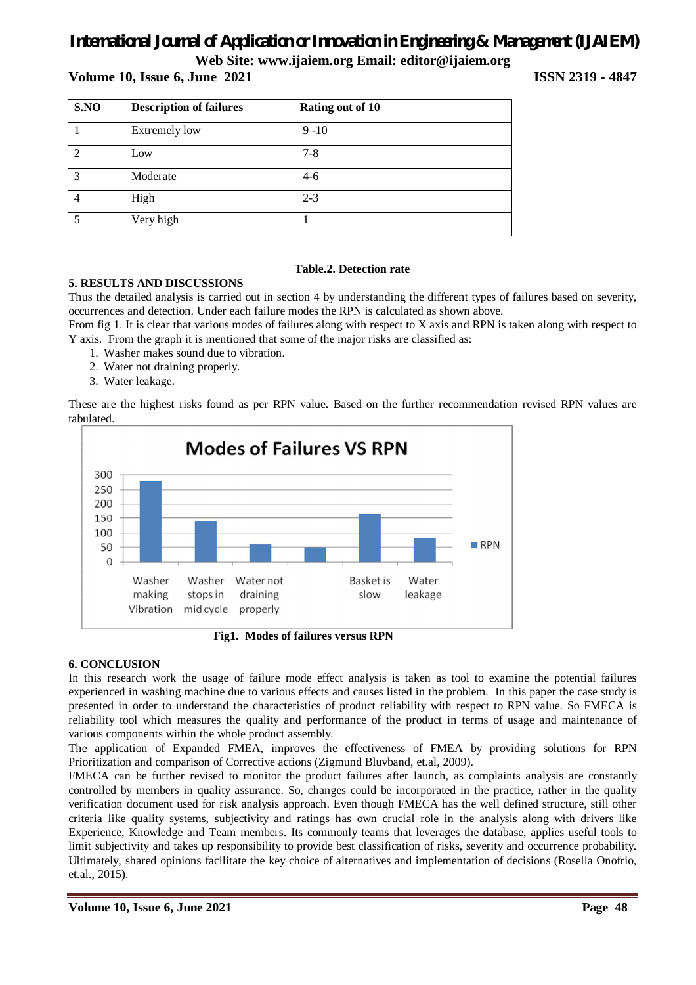### *International Journal of Application or Innovation in Engineering & Management (IJAIEM)*

### **Web Site: www.ijaiem.org Email: editor@ijaiem.org**

### **Volume 10, Issue 6, June 2021 ISSN 2319 - 4847**

| S.NO | <b>Description of failures</b> | Rating out of 10 |  |  |  |
|------|--------------------------------|------------------|--|--|--|
|      | <b>Extremely low</b>           | $9 - 10$         |  |  |  |
|      | Low                            | $7 - 8$          |  |  |  |
| 3    | Moderate                       | $4-6$            |  |  |  |
| 4    | High                           | $2 - 3$          |  |  |  |
| 5    | Very high                      |                  |  |  |  |

### **Table.2. Detection rate**

### **5. RESULTS AND DISCUSSIONS**

Thus the detailed analysis is carried out in section 4 by understanding the different types of failures based on severity, occurrences and detection. Under each failure modes the RPN is calculated as shown above.

From fig 1. It is clear that various modes of failures along with respect to X axis and RPN is taken along with respect to Y axis. From the graph it is mentioned that some of the major risks are classified as:

- 1. Washer makes sound due to vibration.
- 2. Water not draining properly.
- 3. Water leakage.

These are the highest risks found as per RPN value. Based on the further recommendation revised RPN values are tabulated.



 **Fig1. Modes of failures versus RPN** 

### **6. CONCLUSION**

In this research work the usage of failure mode effect analysis is taken as tool to examine the potential failures experienced in washing machine due to various effects and causes listed in the problem. In this paper the case study is presented in order to understand the characteristics of product reliability with respect to RPN value. So FMECA is reliability tool which measures the quality and performance of the product in terms of usage and maintenance of various components within the whole product assembly.

The application of Expanded FMEA, improves the effectiveness of FMEA by providing solutions for RPN Prioritization and comparison of Corrective actions (Zigmund Bluvband, et.al, 2009).

FMECA can be further revised to monitor the product failures after launch, as complaints analysis are constantly controlled by members in quality assurance. So, changes could be incorporated in the practice, rather in the quality verification document used for risk analysis approach. Even though FMECA has the well defined structure, still other criteria like quality systems, subjectivity and ratings has own crucial role in the analysis along with drivers like Experience, Knowledge and Team members. Its commonly teams that leverages the database, applies useful tools to limit subjectivity and takes up responsibility to provide best classification of risks, severity and occurrence probability. Ultimately, shared opinions facilitate the key choice of alternatives and implementation of decisions (Rosella Onofrio, et.al., 2015).